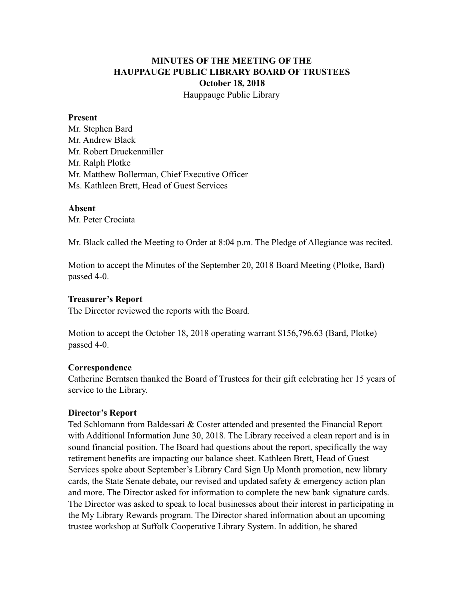# **MINUTES OF THE MEETING OF THE HAUPPAUGE PUBLIC LIBRARY BOARD OF TRUSTEES October 18, 2018** Hauppauge Public Library

#### **Present**

Mr. Stephen Bard Mr. Andrew Black Mr. Robert Druckenmiller Mr. Ralph Plotke Mr. Matthew Bollerman, Chief Executive Officer Ms. Kathleen Brett, Head of Guest Services

#### **Absent**

Mr. Peter Crociata

Mr. Black called the Meeting to Order at 8:04 p.m. The Pledge of Allegiance was recited.

Motion to accept the Minutes of the September 20, 2018 Board Meeting (Plotke, Bard) passed 4-0.

#### **Treasurer's Report**

The Director reviewed the reports with the Board.

Motion to accept the October 18, 2018 operating warrant \$156,796.63 (Bard, Plotke) passed 4-0.

#### **Correspondence**

Catherine Berntsen thanked the Board of Trustees for their gift celebrating her 15 years of service to the Library.

#### **Director's Report**

Ted Schlomann from Baldessari & Coster attended and presented the Financial Report with Additional Information June 30, 2018. The Library received a clean report and is in sound financial position. The Board had questions about the report, specifically the way retirement benefits are impacting our balance sheet. Kathleen Brett, Head of Guest Services spoke about September's Library Card Sign Up Month promotion, new library cards, the State Senate debate, our revised and updated safety & emergency action plan and more. The Director asked for information to complete the new bank signature cards. The Director was asked to speak to local businesses about their interest in participating in the My Library Rewards program. The Director shared information about an upcoming trustee workshop at Suffolk Cooperative Library System. In addition, he shared